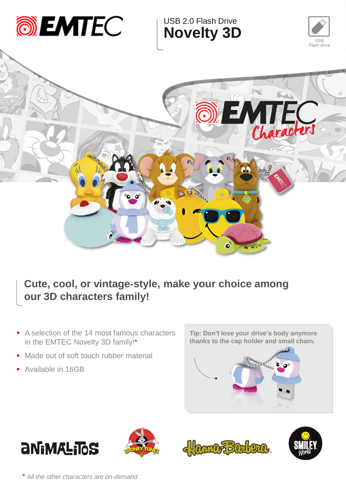

## **Cute, cool, or vintage-style, make your choice among our 3D characters family!**

- A selection of the 14 most famous characters in the EMTEC Novelty 3D family!\*
- Made out of soft touch rubber material
- **Available in 16GB**













*\* All the other characters are on-demand*